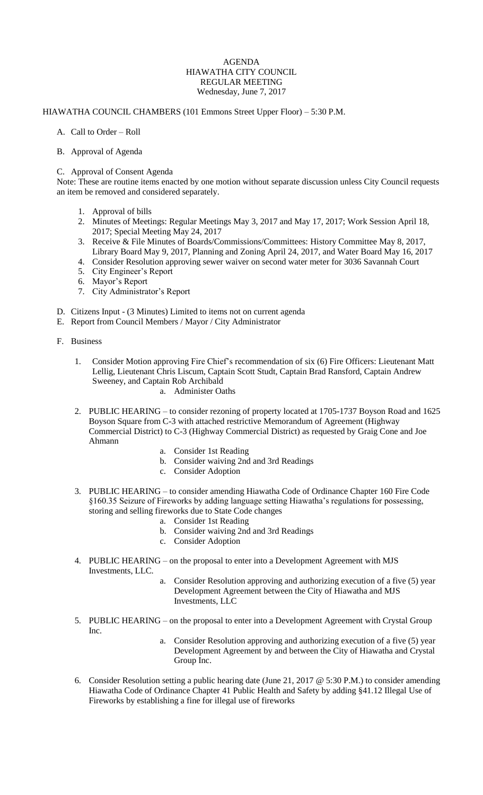## AGENDA HIAWATHA CITY COUNCIL REGULAR MEETING Wednesday, June 7, 2017

## HIAWATHA COUNCIL CHAMBERS (101 Emmons Street Upper Floor) – 5:30 P.M.

A. Call to Order – Roll

## B. Approval of Agenda

## C. Approval of Consent Agenda

Note: These are routine items enacted by one motion without separate discussion unless City Council requests an item be removed and considered separately.

- 1. Approval of bills
- 2. Minutes of Meetings: Regular Meetings May 3, 2017 and May 17, 2017; Work Session April 18, 2017; Special Meeting May 24, 2017
- 3. Receive & File Minutes of Boards/Commissions/Committees: History Committee May 8, 2017, Library Board May 9, 2017, Planning and Zoning April 24, 2017, and Water Board May 16, 2017
- 4. Consider Resolution approving sewer waiver on second water meter for 3036 Savannah Court
- 5. City Engineer's Report
- 6. Mayor's Report
- 7. City Administrator's Report
- D. Citizens Input (3 Minutes) Limited to items not on current agenda
- E. Report from Council Members / Mayor / City Administrator
- F. Business
	- 1. Consider Motion approving Fire Chief's recommendation of six (6) Fire Officers: Lieutenant Matt Lellig, Lieutenant Chris Liscum, Captain Scott Studt, Captain Brad Ransford, Captain Andrew Sweeney, and Captain Rob Archibald a. Administer Oaths
	- 2. PUBLIC HEARING to consider rezoning of property located at 1705-1737 Boyson Road and 1625 Boyson Square from C-3 with attached restrictive Memorandum of Agreement (Highway Commercial District) to C-3 (Highway Commercial District) as requested by Graig Cone and Joe Ahmann
		- a. Consider 1st Reading
		- b. Consider waiving 2nd and 3rd Readings
		- c. Consider Adoption
	- 3. PUBLIC HEARING to consider amending Hiawatha Code of Ordinance Chapter 160 Fire Code §160.35 Seizure of Fireworks by adding language setting Hiawatha's regulations for possessing, storing and selling fireworks due to State Code changes
		- a. Consider 1st Reading
		- b. Consider waiving 2nd and 3rd Readings
		- c. Consider Adoption
	- 4. PUBLIC HEARING on the proposal to enter into a Development Agreement with MJS Investments, LLC.
		- a. Consider Resolution approving and authorizing execution of a five (5) year Development Agreement between the City of Hiawatha and MJS Investments, LLC
	- 5. PUBLIC HEARING on the proposal to enter into a Development Agreement with Crystal Group Inc.
		- a. Consider Resolution approving and authorizing execution of a five (5) year Development Agreement by and between the City of Hiawatha and Crystal Group Inc.
	- 6. Consider Resolution setting a public hearing date (June 21, 2017 @ 5:30 P.M.) to consider amending Hiawatha Code of Ordinance Chapter 41 Public Health and Safety by adding §41.12 Illegal Use of Fireworks by establishing a fine for illegal use of fireworks